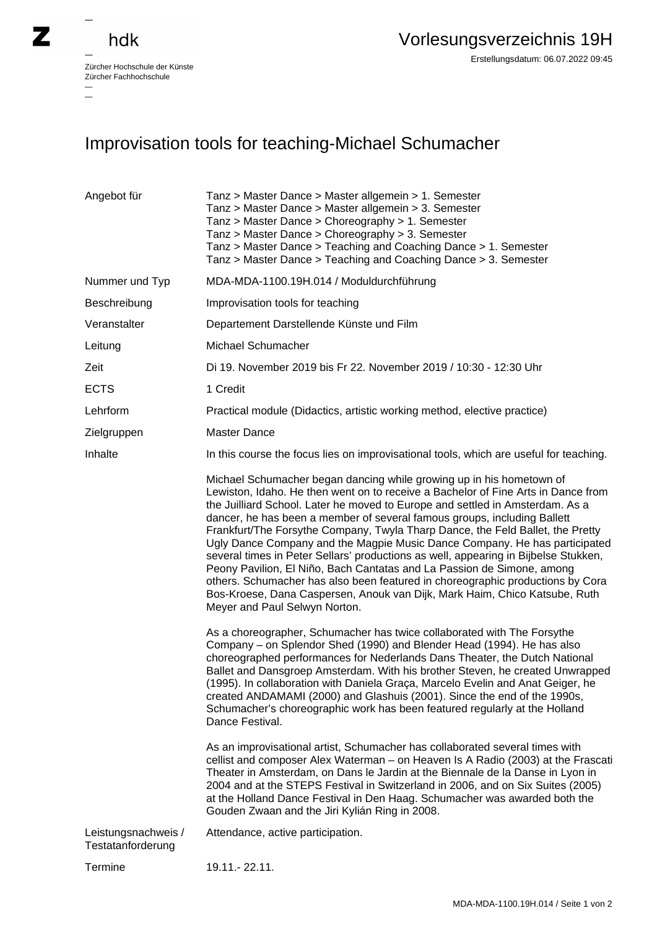## hdk

—

Zürcher Hochschule der Künste Zürcher Fachhochschule —

## Improvisation tools for teaching-Michael Schumacher

| Angebot für                              | Tanz > Master Dance > Master allgemein > 1. Semester<br>Tanz > Master Dance > Master allgemein > 3. Semester<br>Tanz > Master Dance > Choreography > 1. Semester<br>Tanz > Master Dance > Choreography > 3. Semester<br>Tanz > Master Dance > Teaching and Coaching Dance > 1. Semester                                                                                                                                                                                                                                                                                                                                                                                                                                                                                                                                                                  |
|------------------------------------------|----------------------------------------------------------------------------------------------------------------------------------------------------------------------------------------------------------------------------------------------------------------------------------------------------------------------------------------------------------------------------------------------------------------------------------------------------------------------------------------------------------------------------------------------------------------------------------------------------------------------------------------------------------------------------------------------------------------------------------------------------------------------------------------------------------------------------------------------------------|
|                                          | Tanz > Master Dance > Teaching and Coaching Dance > 3. Semester                                                                                                                                                                                                                                                                                                                                                                                                                                                                                                                                                                                                                                                                                                                                                                                          |
| Nummer und Typ                           | MDA-MDA-1100.19H.014 / Moduldurchführung                                                                                                                                                                                                                                                                                                                                                                                                                                                                                                                                                                                                                                                                                                                                                                                                                 |
| Beschreibung                             | Improvisation tools for teaching                                                                                                                                                                                                                                                                                                                                                                                                                                                                                                                                                                                                                                                                                                                                                                                                                         |
| Veranstalter                             | Departement Darstellende Künste und Film                                                                                                                                                                                                                                                                                                                                                                                                                                                                                                                                                                                                                                                                                                                                                                                                                 |
| Leitung                                  | Michael Schumacher                                                                                                                                                                                                                                                                                                                                                                                                                                                                                                                                                                                                                                                                                                                                                                                                                                       |
| Zeit                                     | Di 19. November 2019 bis Fr 22. November 2019 / 10:30 - 12:30 Uhr                                                                                                                                                                                                                                                                                                                                                                                                                                                                                                                                                                                                                                                                                                                                                                                        |
| <b>ECTS</b>                              | 1 Credit                                                                                                                                                                                                                                                                                                                                                                                                                                                                                                                                                                                                                                                                                                                                                                                                                                                 |
| Lehrform                                 | Practical module (Didactics, artistic working method, elective practice)                                                                                                                                                                                                                                                                                                                                                                                                                                                                                                                                                                                                                                                                                                                                                                                 |
| Zielgruppen                              | <b>Master Dance</b>                                                                                                                                                                                                                                                                                                                                                                                                                                                                                                                                                                                                                                                                                                                                                                                                                                      |
| Inhalte                                  | In this course the focus lies on improvisational tools, which are useful for teaching.                                                                                                                                                                                                                                                                                                                                                                                                                                                                                                                                                                                                                                                                                                                                                                   |
|                                          | Michael Schumacher began dancing while growing up in his hometown of<br>Lewiston, Idaho. He then went on to receive a Bachelor of Fine Arts in Dance from<br>the Juilliard School. Later he moved to Europe and settled in Amsterdam. As a<br>dancer, he has been a member of several famous groups, including Ballett<br>Frankfurt/The Forsythe Company, Twyla Tharp Dance, the Feld Ballet, the Pretty<br>Ugly Dance Company and the Magpie Music Dance Company. He has participated<br>several times in Peter Sellars' productions as well, appearing in Bijbelse Stukken,<br>Peony Pavilion, El Niño, Bach Cantatas and La Passion de Simone, among<br>others. Schumacher has also been featured in choreographic productions by Cora<br>Bos-Kroese, Dana Caspersen, Anouk van Dijk, Mark Haim, Chico Katsube, Ruth<br>Meyer and Paul Selwyn Norton. |
|                                          | As a choreographer, Schumacher has twice collaborated with The Forsythe<br>Company – on Splendor Shed (1990) and Blender Head (1994). He has also<br>choreographed performances for Nederlands Dans Theater, the Dutch National<br>Ballet and Dansgroep Amsterdam. With his brother Steven, he created Unwrapped<br>(1995). In collaboration with Daniela Graça, Marcelo Evelin and Anat Geiger, he<br>created ANDAMAMI (2000) and Glashuis (2001). Since the end of the 1990s,<br>Schumacher's choreographic work has been featured regularly at the Holland<br>Dance Festival.                                                                                                                                                                                                                                                                         |
|                                          | As an improvisational artist, Schumacher has collaborated several times with<br>cellist and composer Alex Waterman - on Heaven Is A Radio (2003) at the Frascati<br>Theater in Amsterdam, on Dans le Jardin at the Biennale de la Danse in Lyon in<br>2004 and at the STEPS Festival in Switzerland in 2006, and on Six Suites (2005)<br>at the Holland Dance Festival in Den Haag. Schumacher was awarded both the<br>Gouden Zwaan and the Jiri Kylián Ring in 2008.                                                                                                                                                                                                                                                                                                                                                                                    |
| Leistungsnachweis /<br>Testatanforderung | Attendance, active participation.                                                                                                                                                                                                                                                                                                                                                                                                                                                                                                                                                                                                                                                                                                                                                                                                                        |
| Termine                                  | 19.11. - 22.11.                                                                                                                                                                                                                                                                                                                                                                                                                                                                                                                                                                                                                                                                                                                                                                                                                                          |